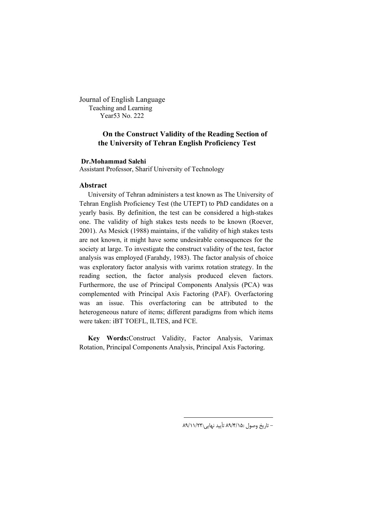Journal of English Language Teaching and Learning Year53 No. 222

# **On the Construct Validity of the Reading Section of the University of Tehran English Proficiency Test**

# **Dr.Mohammad Salehi**

Assistant Professor, Sharif University of Technology

## **Abstract**

University of Tehran administers a test known as The University of Tehran English Proficiency Test (the UTEPT) to PhD candidates on a yearly basis. By definition, the test can be considered a high-stakes one. The validity of high stakes tests needs to be known (Roever, 2001). As Mesick (1988) maintains, if the validity of high stakes tests are not known, it might have some undesirable consequences for the society at large. To investigate the construct validity of the test, factor analysis was employed (Farahdy, 1983). The factor analysis of choice was exploratory factor analysis with varimx rotation strategy. In the reading section, the factor analysis produced eleven factors. Furthermore, the use of Principal Components Analysis (PCA) was complemented with Principal Axis Factoring (PAF). Overfactoring was an issue. This overfactoring can be attributed to the heterogeneous nature of items; different paradigms from which items were taken: iBT TOEFL, ILTES, and FCE.

**Key Words:**Construct Validity, Factor Analysis, Varimax Rotation, Principal Components Analysis, Principal Axis Factoring.

 $\overline{a}$ 

- تاریخ وصول :15 /4/ 89 تأیید نهایی :23 89/11/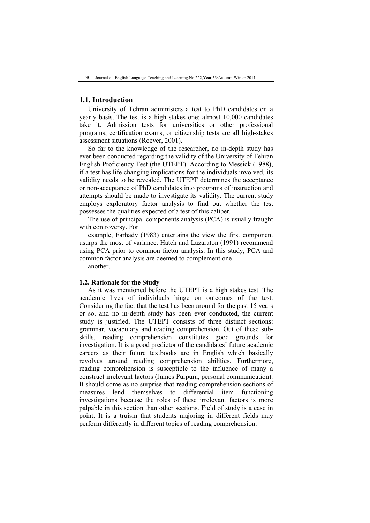## **1.1. Introduction**

University of Tehran administers a test to PhD candidates on a yearly basis. The test is a high stakes one; almost 10,000 candidates take it. Admission tests for universities or other professional programs, certification exams, or citizenship tests are all high-stakes assessment situations (Roever, 2001).

So far to the knowledge of the researcher, no in-depth study has ever been conducted regarding the validity of the University of Tehran English Proficiency Test (the UTEPT). According to Messick (1988), if a test has life changing implications for the individuals involved, its validity needs to be revealed. The UTEPT determines the acceptance or non-acceptance of PhD candidates into programs of instruction and attempts should be made to investigate its validity. The current study employs exploratory factor analysis to find out whether the test possesses the qualities expected of a test of this caliber.

The use of principal components analysis (PCA) is usually fraught with controversy. For

example, Farhady (1983) entertains the view the first component usurps the most of variance. Hatch and Lazaraton (1991) recommend using PCA prior to common factor analysis. In this study, PCA and common factor analysis are deemed to complement one another.

## **1.2. Rationale for the Study**

As it was mentioned before the UTEPT is a high stakes test. The academic lives of individuals hinge on outcomes of the test. Considering the fact that the test has been around for the past 15 years or so, and no in-depth study has been ever conducted, the current study is justified. The UTEPT consists of three distinct sections: grammar, vocabulary and reading comprehension. Out of these subskills, reading comprehension constitutes good grounds for investigation. It is a good predictor of the candidates' future academic careers as their future textbooks are in English which basically revolves around reading comprehension abilities. Furthermore, reading comprehension is susceptible to the influence of many a construct irrelevant factors (James Purpura, personal communication). It should come as no surprise that reading comprehension sections of measures lend themselves to differential item functioning investigations because the roles of these irrelevant factors is more palpable in this section than other sections. Field of study is a case in point. It is a truism that students majoring in different fields may perform differently in different topics of reading comprehension.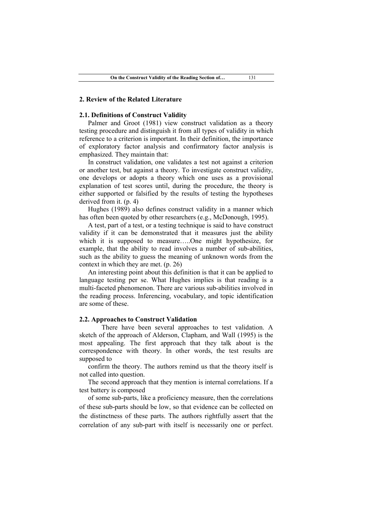### **2. Review of the Related Literature**

### **2.1. Definitions of Construct Validity**

Palmer and Groot (1981) view construct validation as a theory testing procedure and distinguish it from all types of validity in which reference to a criterion is important. In their definition, the importance of exploratory factor analysis and confirmatory factor analysis is emphasized. They maintain that:

In construct validation, one validates a test not against a criterion or another test, but against a theory. To investigate construct validity, one develops or adopts a theory which one uses as a provisional explanation of test scores until, during the procedure, the theory is either supported or falsified by the results of testing the hypotheses derived from it. (p. 4)

Hughes (1989) also defines construct validity in a manner which has often been quoted by other researchers (e.g., McDonough, 1995).

A test, part of a test, or a testing technique is said to have construct validity if it can be demonstrated that it measures just the ability which it is supposed to measure…..One might hypothesize, for example, that the ability to read involves a number of sub-abilities, such as the ability to guess the meaning of unknown words from the context in which they are met. (p. 26)

An interesting point about this definition is that it can be applied to language testing per se. What Hughes implies is that reading is a multi-faceted phenomenon. There are various sub-abilities involved in the reading process. Inferencing, vocabulary, and topic identification are some of these.

### **2.2. Approaches to Construct Validation**

There have been several approaches to test validation. A sketch of the approach of Alderson, Clapham, and Wall (1995) is the most appealing. The first approach that they talk about is the correspondence with theory. In other words, the test results are supposed to

confirm the theory. The authors remind us that the theory itself is not called into question.

The second approach that they mention is internal correlations. If a test battery is composed

of some sub-parts, like a proficiency measure, then the correlations of these sub-parts should be low, so that evidence can be collected on the distinctness of these parts. The authors rightfully assert that the correlation of any sub-part with itself is necessarily one or perfect.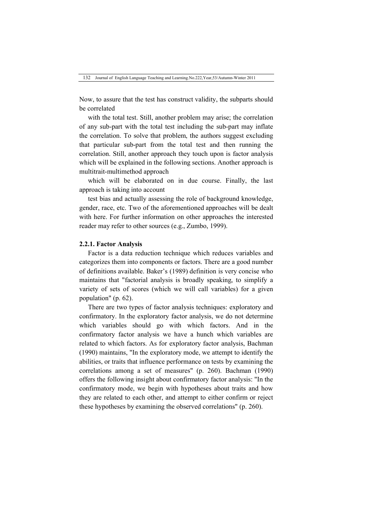Now, to assure that the test has construct validity, the subparts should be correlated

with the total test. Still, another problem may arise; the correlation of any sub-part with the total test including the sub-part may inflate the correlation. To solve that problem, the authors suggest excluding that particular sub-part from the total test and then running the correlation. Still, another approach they touch upon is factor analysis which will be explained in the following sections. Another approach is multitrait-multimethod approach

which will be elaborated on in due course. Finally, the last approach is taking into account

test bias and actually assessing the role of background knowledge, gender, race, etc. Two of the aforementioned approaches will be dealt with here. For further information on other approaches the interested reader may refer to other sources (e.g., Zumbo, 1999).

## **2.2.1. Factor Analysis**

Factor is a data reduction technique which reduces variables and categorizes them into components or factors. There are a good number of definitions available. Baker's (1989) definition is very concise who maintains that "factorial analysis is broadly speaking, to simplify a variety of sets of scores (which we will call variables) for a given population" (p. 62).

There are two types of factor analysis techniques: exploratory and confirmatory. In the exploratory factor analysis, we do not determine which variables should go with which factors. And in the confirmatory factor analysis we have a hunch which variables are related to which factors. As for exploratory factor analysis, Bachman (1990) maintains, "In the exploratory mode, we attempt to identify the abilities, or traits that influence performance on tests by examining the correlations among a set of measures" (p. 260). Bachman (1990) offers the following insight about confirmatory factor analysis: "In the confirmatory mode, we begin with hypotheses about traits and how they are related to each other, and attempt to either confirm or reject these hypotheses by examining the observed correlations" (p. 260).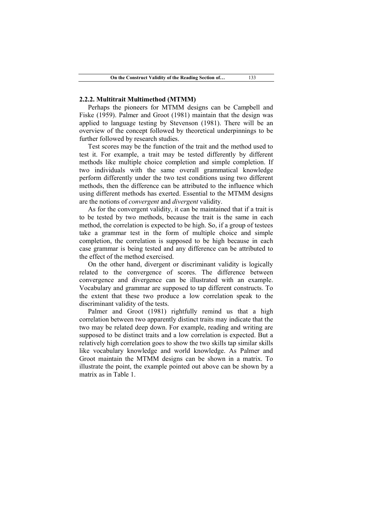## **2.2.2. Multitrait Multimethod (MTMM)**

Perhaps the pioneers for MTMM designs can be Campbell and Fiske (1959). Palmer and Groot (1981) maintain that the design was applied to language testing by Stevenson (1981). There will be an overview of the concept followed by theoretical underpinnings to be further followed by research studies.

Test scores may be the function of the trait and the method used to test it. For example, a trait may be tested differently by different methods like multiple choice completion and simple completion. If two individuals with the same overall grammatical knowledge perform differently under the two test conditions using two different methods, then the difference can be attributed to the influence which using different methods has exerted. Essential to the MTMM designs are the notions of *convergent* and *divergent* validity.

As for the convergent validity, it can be maintained that if a trait is to be tested by two methods, because the trait is the same in each method, the correlation is expected to be high. So, if a group of testees take a grammar test in the form of multiple choice and simple completion, the correlation is supposed to be high because in each case grammar is being tested and any difference can be attributed to the effect of the method exercised.

On the other hand, divergent or discriminant validity is logically related to the convergence of scores. The difference between convergence and divergence can be illustrated with an example. Vocabulary and grammar are supposed to tap different constructs. To the extent that these two produce a low correlation speak to the discriminant validity of the tests.

Palmer and Groot (1981) rightfully remind us that a high correlation between two apparently distinct traits may indicate that the two may be related deep down. For example, reading and writing are supposed to be distinct traits and a low correlation is expected. But a relatively high correlation goes to show the two skills tap similar skills like vocabulary knowledge and world knowledge. As Palmer and Groot maintain the MTMM designs can be shown in a matrix. To illustrate the point, the example pointed out above can be shown by a matrix as in Table 1.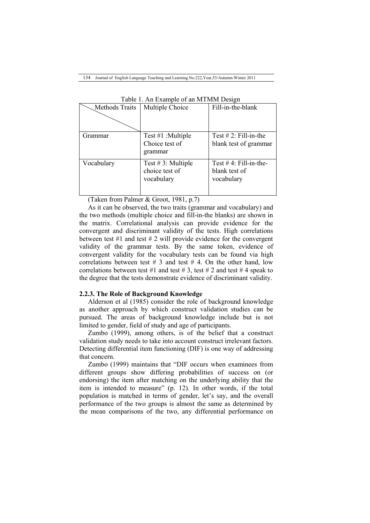| <b>Methods Traits</b> | Multiple Choice       | Fill-in-the-blank         |
|-----------------------|-----------------------|---------------------------|
|                       |                       |                           |
| Grammar               | Test $#1$ : Multiple  | Test $# 2$ : Fill-in-the  |
|                       | Choice test of        | blank test of grammar     |
|                       | grammar               |                           |
| Vocabulary            | Test $# 3$ : Multiple | Test $# 4$ : Fill-in-the- |
|                       | choice test of        | blank test of             |
|                       | vocabulary            | vocabulary                |
|                       |                       |                           |

Table 1. An Example of an MTMM Design

(Taken from Palmer & Groot, 1981, p.7)

As it can be observed, the two traits (grammar and vocabulary) and the two methods (multiple choice and fill-in-the blanks) are shown in the matrix. Correlational analysis can provide evidence for the convergent and discriminant validity of the tests. High correlations between test  $#1$  and test  $#2$  will provide evidence for the convergent validity of the grammar tests. By the same token, evidence of convergent validity for the vocabulary tests can be found via high correlations between test  $# 3$  and test  $# 4$ . On the other hand, low correlations between test #1 and test #3, test #2 and test #4 speak to the degree that the tests demonstrate evidence of discriminant validity.

## **2.2.3. The Role of Background Knowledge**

Alderson et al (1985) consider the role of background knowledge as another approach by which construct validation studies can be pursued. The areas of background knowledge include but is not limited to gender, field of study and age of participants.

Zumbo (1999), among others, is of the belief that a construct validation study needs to take into account construct irrelevant factors. Detecting differential item functioning (DIF) is one way of addressing that concern.

Zumbo (1999) maintains that "DIF occurs when examinees from different groups show differing probabilities of success on (or endorsing) the item after matching on the underlying ability that the item is intended to measure" (p. 12). In other words, if the total population is matched in terms of gender, let's say, and the overall performance of the two groups is almost the same as determined by the mean comparisons of the two, any differential performance on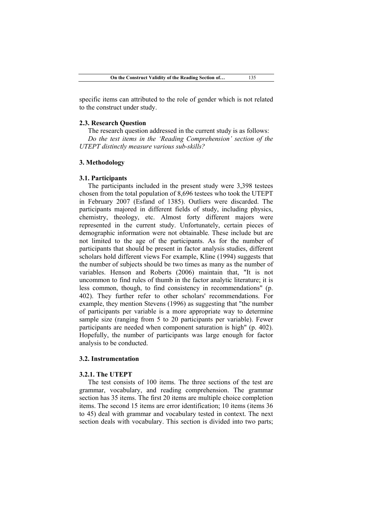specific items can attributed to the role of gender which is not related to the construct under study.

### **2.3. Research Question**

The research question addressed in the current study is as follows: *Do the test items in the 'Reading Comprehension' section of the UTEPT distinctly measure various sub-skills?*

## **3. Methodology**

### **3.1. Participants**

The participants included in the present study were 3,398 testees chosen from the total population of 8,696 testees who took the UTEPT in February 2007 (Esfand of 1385). Outliers were discarded. The participants majored in different fields of study, including physics, chemistry, theology, etc. Almost forty different majors were represented in the current study. Unfortunately, certain pieces of demographic information were not obtainable. These include but are not limited to the age of the participants. As for the number of participants that should be present in factor analysis studies, different scholars hold different views For example, Kline (1994) suggests that the number of subjects should be two times as many as the number of variables. Henson and Roberts (2006) maintain that, "It is not uncommon to find rules of thumb in the factor analytic literature; it is less common, though, to find consistency in recommendations" (p. 402). They further refer to other scholars' recommendations. For example, they mention Stevens (1996) as suggesting that "the number of participants per variable is a more appropriate way to determine sample size (ranging from 5 to 20 participants per variable). Fewer participants are needed when component saturation is high" (p. 402). Hopefully, the number of participants was large enough for factor analysis to be conducted.

## **3.2. Instrumentation**

### **3.2.1. The UTEPT**

The test consists of 100 items. The three sections of the test are grammar, vocabulary, and reading comprehension. The grammar section has 35 items. The first 20 items are multiple choice completion items. The second 15 items are error identification; 10 items (items 36 to 45) deal with grammar and vocabulary tested in context. The next section deals with vocabulary. This section is divided into two parts;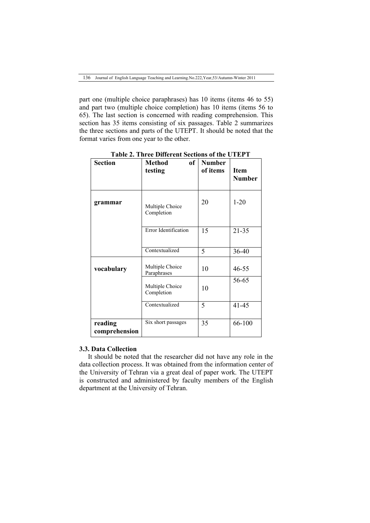part one (multiple choice paraphrases) has 10 items (items 46 to 55) and part two (multiple choice completion) has 10 items (items 56 to 65). The last section is concerned with reading comprehension. This section has 35 items consisting of six passages. Table 2 summarizes the three sections and parts of the UTEPT. It should be noted that the format varies from one year to the other.

| <b>Section</b>           | <b>Method</b><br>of<br>testing | <b>Number</b><br>of items | <b>Item</b><br><b>Number</b> |
|--------------------------|--------------------------------|---------------------------|------------------------------|
| grammar                  | Multiple Choice<br>Completion  | 20                        | $1 - 20$                     |
|                          | Error Identification           | 15                        | $21 - 35$                    |
|                          | Contextualized                 | 5                         | 36-40                        |
| vocabulary               | Multiple Choice<br>Paraphrases | 10                        | 46-55                        |
|                          | Multiple Choice<br>Completion  | 10                        | 56-65                        |
|                          | Contextualized                 | 5                         | $41 - 45$                    |
| reading<br>comprehension | Six short passages             | 35                        | 66-100                       |

**Table 2. Three Different Sections of the UTEPT**

 $\overline{\phantom{a}}$ 

### **3.3. Data Collection**

It should be noted that the researcher did not have any role in the data collection process. It was obtained from the information center of the University of Tehran via a great deal of paper work. The UTEPT is constructed and administered by faculty members of the English department at the University of Tehran.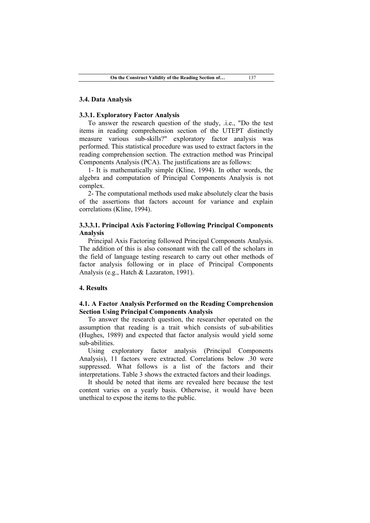### **3.4. Data Analysis**

### **3.3.1. Exploratory Factor Analysis**

To answer the research question of the study, .i.e., "Do the test items in reading comprehension section of the UTEPT distinctly measure various sub-skills?" exploratory factor analysis was performed. This statistical procedure was used to extract factors in the reading comprehension section. The extraction method was Principal Components Analysis (PCA). The justifications are as follows:

1- It is mathematically simple (Kline, 1994). In other words, the algebra and computation of Principal Components Analysis is not complex.

2- The computational methods used make absolutely clear the basis of the assertions that factors account for variance and explain correlations (Kline, 1994).

## **3.3.3.1. Principal Axis Factoring Following Principal Components Analysis**

Principal Axis Factoring followed Principal Components Analysis. The addition of this is also consonant with the call of the scholars in the field of language testing research to carry out other methods of factor analysis following or in place of Principal Components Analysis (e.g., Hatch & Lazaraton, 1991).

### **4. Results**

# **4.1. A Factor Analysis Performed on the Reading Comprehension Section Using Principal Components Analysis**

To answer the research question, the researcher operated on the assumption that reading is a trait which consists of sub-abilities (Hughes, 1989) and expected that factor analysis would yield some sub-abilities.

Using exploratory factor analysis (Principal Components Analysis), 11 factors were extracted. Correlations below .30 were suppressed. What follows is a list of the factors and their interpretations. Table 3 shows the extracted factors and their loadings.

It should be noted that items are revealed here because the test content varies on a yearly basis. Otherwise, it would have been unethical to expose the items to the public.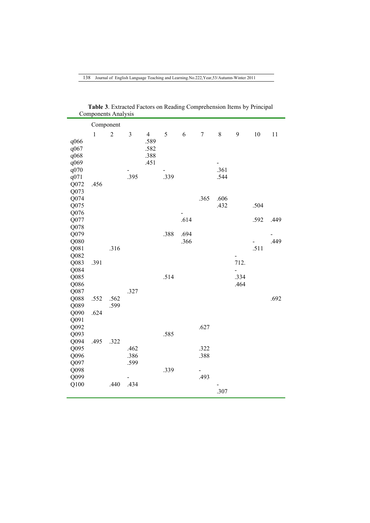|              | Component    |            |      |                |      |      |        |                          |                          |      |      |
|--------------|--------------|------------|------|----------------|------|------|--------|--------------------------|--------------------------|------|------|
|              | $\mathbf{1}$ | $\sqrt{2}$ | 3    | $\overline{4}$ | 5    | 6    | $\tau$ | $\,$ 8 $\,$              | 9                        | 10   | 11   |
| q066<br>q067 |              |            |      | .589<br>.582   |      |      |        |                          |                          |      |      |
| q068         |              |            |      | .388           |      |      |        |                          |                          |      |      |
| q069         |              |            |      | .451           |      |      |        | $\overline{\phantom{0}}$ |                          |      |      |
| q070         |              |            |      |                |      |      |        | .361                     |                          |      |      |
| q071         |              |            | .395 |                | .339 |      |        | .544                     |                          |      |      |
| Q072         | .456         |            |      |                |      |      |        |                          |                          |      |      |
| Q073         |              |            |      |                |      |      |        |                          |                          |      |      |
| Q074         |              |            |      |                |      |      | .365   | .606                     |                          |      |      |
| Q075         |              |            |      |                |      |      |        | .432                     |                          | .504 |      |
| Q076         |              |            |      |                |      |      |        |                          |                          |      |      |
| Q077         |              |            |      |                |      | .614 |        |                          |                          | .592 | .449 |
| Q078         |              |            |      |                |      |      |        |                          |                          |      |      |
| Q079         |              |            |      |                | .388 | .694 |        |                          |                          |      |      |
| Q080         |              |            |      |                |      | .366 |        |                          |                          |      | .449 |
| Q081         |              | .316       |      |                |      |      |        |                          |                          | .511 |      |
| Q082         |              |            |      |                |      |      |        |                          | $\overline{\phantom{a}}$ |      |      |
| Q083         | .391         |            |      |                |      |      |        |                          | 712.                     |      |      |
| Q084         |              |            |      |                |      |      |        |                          |                          |      |      |
| Q085         |              |            |      |                | .514 |      |        |                          | .334                     |      |      |
| Q086         |              |            |      |                |      |      |        |                          | .464                     |      |      |
| Q087         |              |            | .327 |                |      |      |        |                          |                          |      |      |
| Q088         | .552         | .562       |      |                |      |      |        |                          |                          |      | .692 |
| Q089<br>Q090 | .624         | .599       |      |                |      |      |        |                          |                          |      |      |
| Q091         |              |            |      |                |      |      |        |                          |                          |      |      |
| Q092         |              |            |      |                |      |      | .627   |                          |                          |      |      |
| Q093         |              |            |      |                | .585 |      |        |                          |                          |      |      |
| Q094         | .495         | .322       |      |                |      |      |        |                          |                          |      |      |
| Q095         |              |            | .462 |                |      |      | .322   |                          |                          |      |      |
| Q096         |              |            | .386 |                |      |      | .388   |                          |                          |      |      |
| Q097         |              |            | .599 |                |      |      |        |                          |                          |      |      |
| Q098         |              |            |      |                | .339 |      | -      |                          |                          |      |      |
| Q099         |              |            |      |                |      |      | .493   |                          |                          |      |      |
| Q100         |              | .440       | .434 |                |      |      |        |                          |                          |      |      |
|              |              |            |      |                |      |      |        | .307                     |                          |      |      |

**Table 3**. Extracted Factors on Reading Comprehension Items by Principal Components Analysis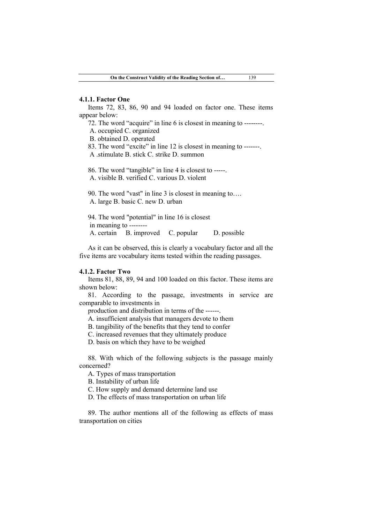### **4.1.1. Factor One**

Items 72, 83, 86, 90 and 94 loaded on factor one. These items appear below:

72. The word "acquire" in line 6 is closest in meaning to --------.

A. occupied C. organized

B. obtained D. operated

83. The word "excite" in line 12 is closest in meaning to -------.

A .stimulate B. stick C. strike D. summon

86. The word "tangible" in line 4 is closest to -----.

A. visible B. verified C. various D. violent

90. The word "vast" in line 3 is closest in meaning to…. A. large B. basic C. new D. urban

94. The word "potential" in line 16 is closest in meaning to -------- A. certain B. improved C. popular D. possible

As it can be observed, this is clearly a vocabulary factor and all the five items are vocabulary items tested within the reading passages.

### **4.1.2. Factor Two**

Items 81, 88, 89, 94 and 100 loaded on this factor. These items are shown below:

81. According to the passage, investments in service are comparable to investments in

production and distribution in terms of the ------.

A. insufficient analysis that managers devote to them

B. tangibility of the benefits that they tend to confer

C. increased revenues that they ultimately produce

D. basis on which they have to be weighed

88. With which of the following subjects is the passage mainly concerned?

A. Types of mass transportation

B. Instability of urban life

C. How supply and demand determine land use

D. The effects of mass transportation on urban life

89. The author mentions all of the following as effects of mass transportation on cities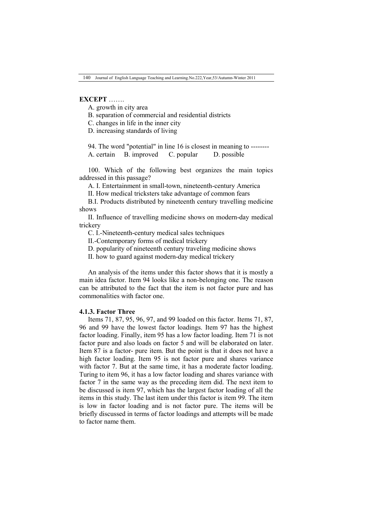## **EXCEPT** …….

A. growth in city area

B. separation of commercial and residential districts

C. changes in life in the inner city

D. increasing standards of living

94. The word "potential" in line 16 is closest in meaning to -------- A. certain B. improved C. popular D. possible

100. Which of the following best organizes the main topics addressed in this passage?

A. I. Entertainment in small-town, nineteenth-century America

II. How medical tricksters take advantage of common fears

B.I. Products distributed by nineteenth century travelling medicine shows

II. Influence of travelling medicine shows on modern-day medical trickery

C. I.-Nineteenth-century medical sales techniques

II.-Contemporary forms of medical trickery

D. popularity of nineteenth century traveling medicine shows

II. how to guard against modern-day medical trickery

An analysis of the items under this factor shows that it is mostly a main idea factor. Item 94 looks like a non-belonging one. The reason can be attributed to the fact that the item is not factor pure and has commonalities with factor one.

### **4.1.3. Factor Three**

Items 71, 87, 95, 96, 97, and 99 loaded on this factor. Items 71, 87, 96 and 99 have the lowest factor loadings. Item 97 has the highest factor loading. Finally, item 95 has a low factor loading. Item 71 is not factor pure and also loads on factor 5 and will be elaborated on later. Item 87 is a factor- pure item. But the point is that it does not have a high factor loading. Item 95 is not factor pure and shares variance with factor 7. But at the same time, it has a moderate factor loading. Turing to item 96, it has a low factor loading and shares variance with factor 7 in the same way as the preceding item did. The next item to be discussed is item 97, which has the largest factor loading of all the items in this study. The last item under this factor is item 99. The item is low in factor loading and is not factor pure. The items will be briefly discussed in terms of factor loadings and attempts will be made to factor name them.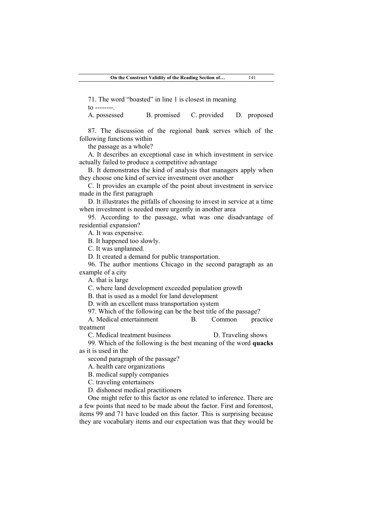71. The word "boasted" in line 1 is closest in meaning

 $\tau$  --------

A. possessed B. promised C. provided D. proposed

87. The discussion of the regional bank serves which of the following functions within

the passage as a whole?

A. It describes an exceptional case in which investment in service actually failed to produce a competitive advantage

B. It demonstrates the kind of analysis that managers apply when they choose one kind of service investment over another

C. It provides an example of the point about investment in service made in the first paragraph

D. It illustrates the pitfalls of choosing to invest in service at a time when investment is needed more urgently in another area

95. According to the passage, what was one disadvantage of residential expansion?

A. It was expensive.

B. It happened too slowly.

C. It was unplanned.

D. It created a demand for public transportation.

96. The author mentions Chicago in the second paragraph as an example of a city

A. that is large

C. where land development exceeded population growth

B. that is used as a model for land development

D. with an excellent mass transportation system

97. Which of the following can be the best title of the passage?

A. Medical entertainment B. Common practice treatment

C. Medical treatment business D. Traveling shows

99. Which of the following is the best meaning of the word **quacks**  as it is used in the

second paragraph of the passage?

A. health care organizations

B. medical supply companies

C. traveling entertainers

D. dishonest medical practitioners

One might refer to this factor as one related to inference. There are a few points that need to be made about the factor. First and foremost, items 99 and 71 have loaded on this factor. This is surprising because they are vocabulary items and our expectation was that they would be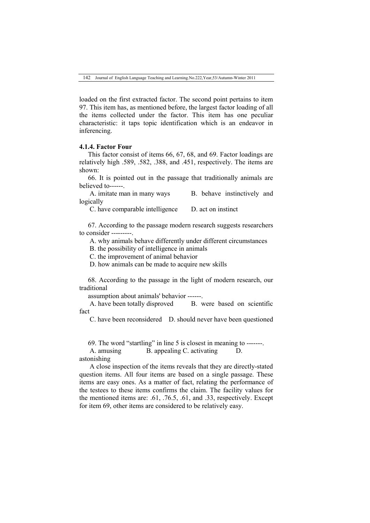loaded on the first extracted factor. The second point pertains to item 97. This item has, as mentioned before, the largest factor loading of all the items collected under the factor. This item has one peculiar characteristic: it taps topic identification which is an endeavor in inferencing.

## **4.1.4. Factor Four**

This factor consist of items 66, 67, 68, and 69. Factor loadings are relatively high .589, .582, .388, and .451, respectively. The items are shown:

66. It is pointed out in the passage that traditionally animals are believed to------.

A. imitate man in many ways B. behave instinctively and logically

C. have comparable intelligence D. act on instinct

67. According to the passage modern research suggests researchers to consider ---------.

A. why animals behave differently under different circumstances

B. the possibility of intelligence in animals

C. the improvement of animal behavior

D. how animals can be made to acquire new skills

68. According to the passage in the light of modern research, our traditional

assumption about animals' behavior ------.

A. have been totally disproved B. were based on scientific fact

C. have been reconsidered D. should never have been questioned

69. The word "startling" in line 5 is closest in meaning to -------.

A. amusing B. appealing C. activating D. astonishing

A close inspection of the items reveals that they are directly-stated question items. All four items are based on a single passage. These items are easy ones. As a matter of fact, relating the performance of the testees to these items confirms the claim. The facility values for the mentioned items are: .61, .76.5, .61, and .33, respectively. Except for item 69, other items are considered to be relatively easy.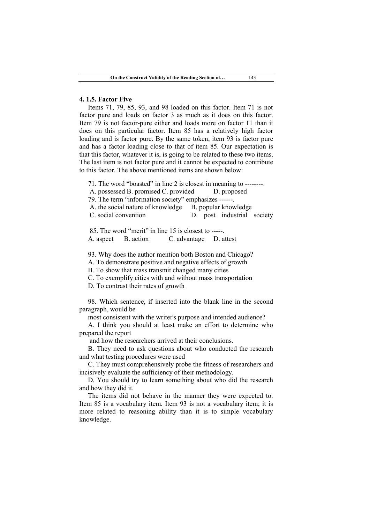### **4. 1.5. Factor Five**

Items 71, 79, 85, 93, and 98 loaded on this factor. Item 71 is not factor pure and loads on factor 3 as much as it does on this factor. Item 79 is not factor-pure either and loads more on factor 11 than it does on this particular factor. Item 85 has a relatively high factor loading and is factor pure. By the same token, item 93 is factor pure and has a factor loading close to that of item 85. Our expectation is that this factor, whatever it is, is going to be related to these two items. The last item is not factor pure and it cannot be expected to contribute to this factor. The above mentioned items are shown below:

- 71. The word "boasted" in line 2 is closest in meaning to --------.
- A. possessed B. promised C. provided D. proposed

79. The term "information society" emphasizes ------.

- A. the social nature of knowledge B. popular knowledge
- C. social convention D. post industrial society

85. The word "merit" in line 15 is closest to -----. A. aspect B. action C. advantage D. attest

93. Why does the author mention both Boston and Chicago?

A. To demonstrate positive and negative effects of growth

B. To show that mass transmit changed many cities

C. To exemplify cities with and without mass transportation

D. To contrast their rates of growth

98. Which sentence, if inserted into the blank line in the second paragraph, would be

most consistent with the writer's purpose and intended audience?

A. I think you should at least make an effort to determine who prepared the report

and how the researchers arrived at their conclusions.

B. They need to ask questions about who conducted the research and what testing procedures were used

C. They must comprehensively probe the fitness of researchers and incisively evaluate the sufficiency of their methodology.

D. You should try to learn something about who did the research and how they did it.

The items did not behave in the manner they were expected to. Item 85 is a vocabulary item. Item 93 is not a vocabulary item; it is more related to reasoning ability than it is to simple vocabulary knowledge.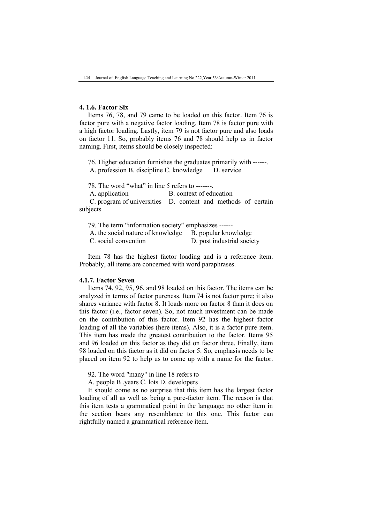## **4. 1.6. Factor Six**

Items 76, 78, and 79 came to be loaded on this factor. Item 76 is factor pure with a negative factor loading. Item 78 is factor pure with a high factor loading. Lastly, item 79 is not factor pure and also loads on factor 11. So, probably items 76 and 78 should help us in factor naming. First, items should be closely inspected:

76. Higher education furnishes the graduates primarily with ------. A. profession B. discipline C. knowledge D. service

78. The word "what" in line 5 refers to -------.

A. application B. context of education

C. program of universities D. content and methods of certain subjects

79. The term "information society" emphasizes ------

|  | A. the social nature of knowledge |  | B. popular knowledge |  |
|--|-----------------------------------|--|----------------------|--|
|  |                                   |  |                      |  |

C. social convention D. post industrial society

Item 78 has the highest factor loading and is a reference item. Probably, all items are concerned with word paraphrases.

#### **4.1.7. Factor Seven**

Items 74, 92, 95, 96, and 98 loaded on this factor. The items can be analyzed in terms of factor pureness. Item 74 is not factor pure; it also shares variance with factor 8. It loads more on factor 8 than it does on this factor (i.e., factor seven). So, not much investment can be made on the contribution of this factor. Item 92 has the highest factor loading of all the variables (here items). Also, it is a factor pure item. This item has made the greatest contribution to the factor. Items 95 and 96 loaded on this factor as they did on factor three. Finally, item 98 loaded on this factor as it did on factor 5. So, emphasis needs to be placed on item 92 to help us to come up with a name for the factor.

92. The word "many" in line 18 refers to

A. people B .years C. lots D. developers

It should come as no surprise that this item has the largest factor loading of all as well as being a pure-factor item. The reason is that this item tests a grammatical point in the language; no other item in the section bears any resemblance to this one. This factor can rightfully named a grammatical reference item.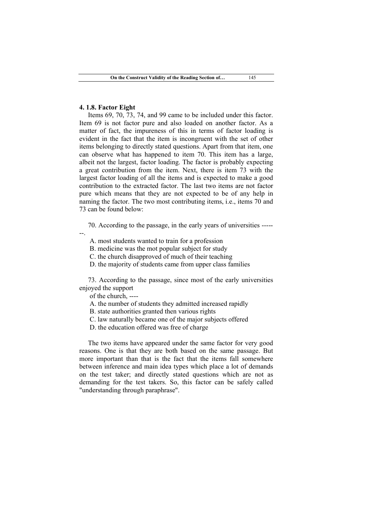### **4. 1.8. Factor Eight**

Items 69, 70, 73, 74, and 99 came to be included under this factor. Item 69 is not factor pure and also loaded on another factor. As a matter of fact, the impureness of this in terms of factor loading is evident in the fact that the item is incongruent with the set of other items belonging to directly stated questions. Apart from that item, one can observe what has happened to item 70. This item has a large, albeit not the largest, factor loading. The factor is probably expecting a great contribution from the item. Next, there is item 73 with the largest factor loading of all the items and is expected to make a good contribution to the extracted factor. The last two items are not factor pure which means that they are not expected to be of any help in naming the factor. The two most contributing items, i.e., items 70 and 73 can be found below:

70. According to the passage, in the early years of universities -----

--.

A. most students wanted to train for a profession

B. medicine was the mot popular subject for study

C. the church disapproved of much of their teaching

D. the majority of students came from upper class families

73. According to the passage, since most of the early universities enjoyed the support

of the church, ----

A. the number of students they admitted increased rapidly

B. state authorities granted then various rights

C. law naturally became one of the major subjects offered

D. the education offered was free of charge

The two items have appeared under the same factor for very good reasons. One is that they are both based on the same passage. But more important than that is the fact that the items fall somewhere between inference and main idea types which place a lot of demands on the test taker; and directly stated questions which are not as demanding for the test takers. So, this factor can be safely called "understanding through paraphrase".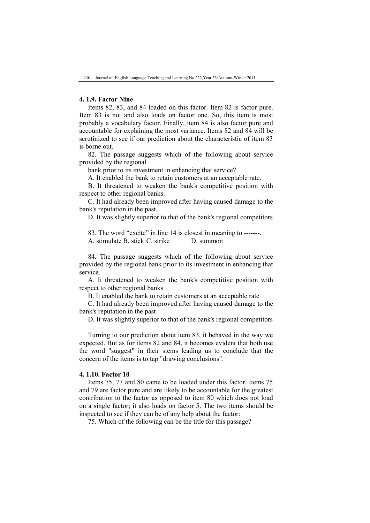## **4. 1.9. Factor Nine**

Items 82, 83, and 84 loaded on this factor. Item 82 is factor pure. Item 83 is not and also loads on factor one. So, this item is most probably a vocabulary factor. Finally, item 84 is also factor pure and accountable for explaining the most variance. Items 82 and 84 will be scrutinized to see if our prediction about the characteristic of item 83 is borne out.

82. The passage suggests which of the following about service provided by the regional

bank prior to its investment in enhancing that service?

A. It enabled the bank to retain customers at an acceptable rate.

B. It threatened to weaken the bank's competitive position with respect to other regional banks.

C. It had already been improved after having caused damage to the bank's reputation in the past.

D. It was slightly superior to that of the bank's regional competitors

83. The word "excite" in line 14 is closest in meaning to -------. A. stimulate B. stick C. strike D. summon

84. The passage suggests which of the following about service provided by the regional bank prior to its investment in enhancing that service.

A. It threatened to weaken the bank's competitive position with respect to other regional banks

B. It enabled the bank to retain customers at an acceptable rate

C. It had already been improved after having caused damage to the bank's reputation in the past

D. It was slightly superior to that of the bank's regional competitors

Turning to our prediction about item 83, it behaved in the way we expected. But as for items 82 and 84, it becomes evident that both use the word "suggest" in their stems leading us to conclude that the concern of the items is to tap "drawing conclusions".

### **4. 1.10. Factor 10**

Items 75, 77 and 80 came to be loaded under this factor. Items 75 and 79 are factor pure and are likely to be accountable for the greatest contribution to the factor as opposed to item 80 which does not load on a single factor; it also loads on factor 5. The two items should be inspected to see if they can be of any help about the factor:

75. Which of the following can be the title for this passage?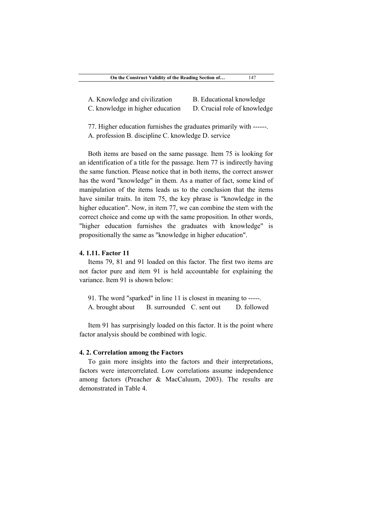| A. Knowledge and civilization |  |
|-------------------------------|--|
|-------------------------------|--|

B. Educational knowledge

C. knowledge in higher education D. Crucial role of knowledge

77. Higher education furnishes the graduates primarily with ------. A. profession B. discipline C. knowledge D. service

Both items are based on the same passage. Item 75 is looking for an identification of a title for the passage. Item 77 is indirectly having the same function. Please notice that in both items, the correct answer has the word "knowledge" in them. As a matter of fact, some kind of manipulation of the items leads us to the conclusion that the items have similar traits. In item 75, the key phrase is "knowledge in the higher education". Now, in item 77, we can combine the stem with the correct choice and come up with the same proposition. In other words, "higher education furnishes the graduates with knowledge" is propositionally the same as "knowledge in higher education".

## **4. 1.11. Factor 11**

Items 79, 81 and 91 loaded on this factor. The first two items are not factor pure and item 91 is held accountable for explaining the variance. Item 91 is shown below:

91. The word "sparked" in line 11 is closest in meaning to -----. A. brought about B. surrounded C. sent out D. followed

Item 91 has surprisingly loaded on this factor. It is the point where factor analysis should be combined with logic.

## **4. 2. Correlation among the Factors**

To gain more insights into the factors and their interpretations, factors were intercorrelated. Low correlations assume independence among factors (Preacher & MacCaluum, 2003). The results are demonstrated in Table 4.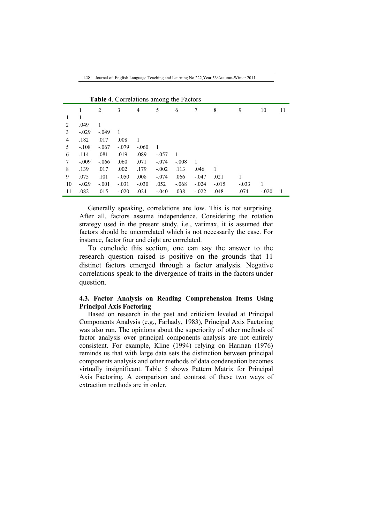|    |         |         |         |                | $\check{~}$    |         |                |         |         |         |    |
|----|---------|---------|---------|----------------|----------------|---------|----------------|---------|---------|---------|----|
|    |         | 2       | 3       | $\overline{4}$ | 5              | 6       | 7              | 8       | 9       | 10      | 11 |
| 1  | 1       |         |         |                |                |         |                |         |         |         |    |
| 2  | .049    | 1       |         |                |                |         |                |         |         |         |    |
| 3  | $-.029$ | $-.049$ | 1       |                |                |         |                |         |         |         |    |
| 4  | .182    | .017    | .008    | 1              |                |         |                |         |         |         |    |
| 5  | $-.108$ | $-.067$ | $-.079$ | $-.060$        | $\overline{1}$ |         |                |         |         |         |    |
| 6  | .114    | .081    | .019    | .089           | $-.057$        | 1       |                |         |         |         |    |
| 7  | $-.009$ | $-.066$ | .060    | .071           | $-.074$        | $-.008$ | $\overline{1}$ |         |         |         |    |
| 8  | .139    | .017    | .002    | .179           | $-.002$        | .113    | .046           | -1      |         |         |    |
| 9  | .075    | .101    | $-.050$ | .008           | $-.074$        | .066    | $-.047$        | .021    | 1       |         |    |
| 10 | $-.029$ | $-.001$ | $-.031$ | $-.030$        | .052           | $-.068$ | $-.024$        | $-.015$ | $-.033$ | 1       |    |
| 11 | .082    | .015    | $-.020$ | .024           | $-.040$        | .038    | $-.022$        | .048    | .074    | $-.020$ | 1  |

**Table 4**. Correlations among the Factors

Generally speaking, correlations are low. This is not surprising. After all, factors assume independence. Considering the rotation strategy used in the present study, i.e., varimax, it is assumed that factors should be uncorrelated which is not necessarily the case. For instance, factor four and eight are correlated.

To conclude this section, one can say the answer to the research question raised is positive on the grounds that 11 distinct factors emerged through a factor analysis. Negative correlations speak to the divergence of traits in the factors under question.

# **4.3. Factor Analysis on Reading Comprehension Items Using Principal Axis Factoring**

Based on research in the past and criticism leveled at Principal Components Analysis (e.g., Farhady, 1983), Principal Axis Factoring was also run. The opinions about the superiority of other methods of factor analysis over principal components analysis are not entirely consistent. For example, Kline (1994) relying on Harman (1976) reminds us that with large data sets the distinction between principal components analysis and other methods of data condensation becomes virtually insignificant. Table 5 shows Pattern Matrix for Principal Axis Factoring. A comparison and contrast of these two ways of extraction methods are in order.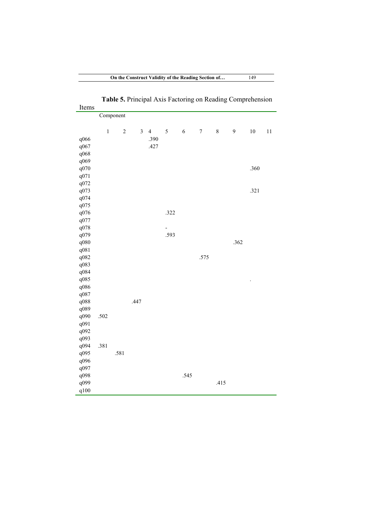| Items |       |            |                |                |                          |            |                  |       |      |        |        |
|-------|-------|------------|----------------|----------------|--------------------------|------------|------------------|-------|------|--------|--------|
|       |       | Component  |                |                |                          |            |                  |       |      |        |        |
|       |       |            |                |                |                          |            |                  |       |      |        |        |
|       | $\,1$ | $\sqrt{2}$ | $\overline{3}$ | $\overline{4}$ | $\sqrt{5}$               | $\sqrt{6}$ | $\boldsymbol{7}$ | $8\,$ | 9    | $10\,$ | $1\,1$ |
| q066  |       |            |                | .390           |                          |            |                  |       |      |        |        |
| q067  |       |            |                | .427           |                          |            |                  |       |      |        |        |
| q068  |       |            |                |                |                          |            |                  |       |      |        |        |
| q069  |       |            |                |                |                          |            |                  |       |      |        |        |
| q070  |       |            |                |                |                          |            |                  |       |      | .360   |        |
| q071  |       |            |                |                |                          |            |                  |       |      |        |        |
| q072  |       |            |                |                |                          |            |                  |       |      |        |        |
| q073  |       |            |                |                |                          |            |                  |       |      | .321   |        |
| q074  |       |            |                |                |                          |            |                  |       |      |        |        |
| q075  |       |            |                |                |                          |            |                  |       |      |        |        |
| q076  |       |            |                |                | .322                     |            |                  |       |      |        |        |
| q077  |       |            |                |                |                          |            |                  |       |      |        |        |
| q078  |       |            |                |                | $\overline{\phantom{a}}$ |            |                  |       |      |        |        |
| q079  |       |            |                |                | .593                     |            |                  |       |      |        |        |
| q080  |       |            |                |                |                          |            |                  |       | .362 |        |        |
| q081  |       |            |                |                |                          |            |                  |       |      |        |        |
| q082  |       |            |                |                |                          |            | .575             |       |      |        |        |
| q083  |       |            |                |                |                          |            |                  |       |      |        |        |
| q084  |       |            |                |                |                          |            |                  |       |      |        |        |
| q085  |       |            |                |                |                          |            |                  |       |      |        |        |
| q086  |       |            |                |                |                          |            |                  |       |      |        |        |
| q087  |       |            |                |                |                          |            |                  |       |      |        |        |
| q088  |       |            | .447           |                |                          |            |                  |       |      |        |        |
| q089  |       |            |                |                |                          |            |                  |       |      |        |        |
| q090  | .502  |            |                |                |                          |            |                  |       |      |        |        |
| q091  |       |            |                |                |                          |            |                  |       |      |        |        |
| q092  |       |            |                |                |                          |            |                  |       |      |        |        |
| q093  |       |            |                |                |                          |            |                  |       |      |        |        |
| q094  | .381  |            |                |                |                          |            |                  |       |      |        |        |
| q095  |       | .581       |                |                |                          |            |                  |       |      |        |        |
| q096  |       |            |                |                |                          |            |                  |       |      |        |        |
| q097  |       |            |                |                |                          |            |                  |       |      |        |        |
| q098  |       |            |                |                |                          | .545       |                  |       |      |        |        |
| q099  |       |            |                |                |                          |            |                  | .415  |      |        |        |
| q100  |       |            |                |                |                          |            |                  |       |      |        |        |

**Table 5.** Principal Axis Factoring on Reading Comprehension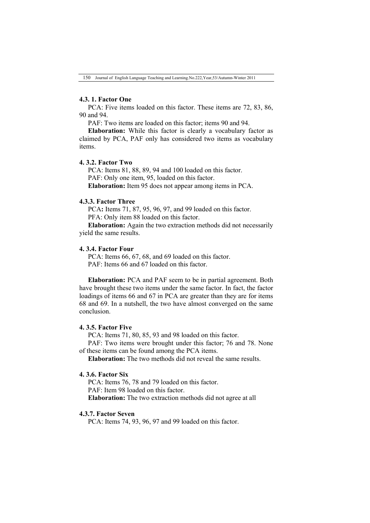## **4.3. 1. Factor One**

PCA: Five items loaded on this factor. These items are 72, 83, 86, 90 and 94.

PAF: Two items are loaded on this factor; items 90 and 94.

**Elaboration:** While this factor is clearly a vocabulary factor as claimed by PCA, PAF only has considered two items as vocabulary items.

# **4. 3.2. Factor Two**

PCA: Items 81, 88, 89, 94 and 100 loaded on this factor. PAF: Only one item, 95, loaded on this factor. **Elaboration:** Item 95 does not appear among items in PCA.

## **4.3.3. Factor Three**

PCA**:** Items 71, 87, 95, 96, 97, and 99 loaded on this factor. PFA: Only item 88 loaded on this factor.

**Elaboration:** Again the two extraction methods did not necessarily yield the same results.

### **4. 3.4. Factor Four**

PCA: Items 66, 67, 68, and 69 loaded on this factor. PAF: Items 66 and 67 loaded on this factor.

**Elaboration:** PCA and PAF seem to be in partial agreement. Both have brought these two items under the same factor. In fact, the factor loadings of items 66 and 67 in PCA are greater than they are for items 68 and 69. In a nutshell, the two have almost converged on the same conclusion.

## **4. 3.5. Factor Five**

PCA: Items 71, 80, 85, 93 and 98 loaded on this factor.

PAF: Two items were brought under this factor; 76 and 78. None of these items can be found among the PCA items.

**Elaboration:** The two methods did not reveal the same results.

### **4. 3.6. Factor Six**

PCA: Items 76, 78 and 79 loaded on this factor. PAF: Item 98 loaded on this factor. **Elaboration:** The two extraction methods did not agree at all

## **4.3.7. Factor Seven**

PCA: Items 74, 93, 96, 97 and 99 loaded on this factor.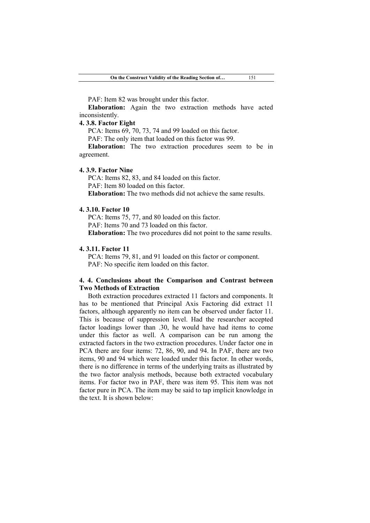PAF: Item 82 was brought under this factor.

**Elaboration:** Again the two extraction methods have acted inconsistently.

## **4. 3.8. Factor Eight**

PCA: Items 69, 70, 73, 74 and 99 loaded on this factor.

PAF: The only item that loaded on this factor was 99.

**Elaboration:** The two extraction procedures seem to be in agreement.

## **4. 3.9. Factor Nine**

PCA: Items 82, 83, and 84 loaded on this factor. PAF: Item 80 loaded on this factor. **Elaboration:** The two methods did not achieve the same results.

### **4. 3.10. Factor 10**

PCA: Items 75, 77, and 80 loaded on this factor. PAF: Items 70 and 73 loaded on this factor. **Elaboration:** The two procedures did not point to the same results.

## **4. 3.11. Factor 11**

PCA: Items 79, 81, and 91 loaded on this factor or component. PAF: No specific item loaded on this factor.

## **4. 4. Conclusions about the Comparison and Contrast between Two Methods of Extraction**

Both extraction procedures extracted 11 factors and components. It has to be mentioned that Principal Axis Factoring did extract 11 factors, although apparently no item can be observed under factor 11. This is because of suppression level. Had the researcher accepted factor loadings lower than .30, he would have had items to come under this factor as well. A comparison can be run among the extracted factors in the two extraction procedures. Under factor one in PCA there are four items: 72, 86, 90, and 94. In PAF, there are two items, 90 and 94 which were loaded under this factor. In other words, there is no difference in terms of the underlying traits as illustrated by the two factor analysis methods, because both extracted vocabulary items. For factor two in PAF, there was item 95. This item was not factor pure in PCA. The item may be said to tap implicit knowledge in the text. It is shown below: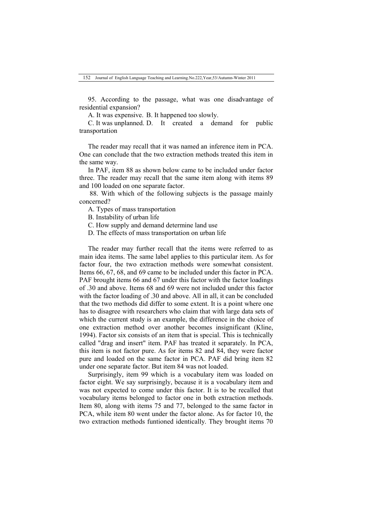95. According to the passage, what was one disadvantage of residential expansion?

A. It was expensive. B. It happened too slowly.

C. It was unplanned. D. It created a demand for public transportation

The reader may recall that it was named an inference item in PCA. One can conclude that the two extraction methods treated this item in the same way.

In PAF, item 88 as shown below came to be included under factor three. The reader may recall that the same item along with items 89 and 100 loaded on one separate factor.

88. With which of the following subjects is the passage mainly concerned?

A. Types of mass transportation

B. Instability of urban life

C. How supply and demand determine land use

D. The effects of mass transportation on urban life

The reader may further recall that the items were referred to as main idea items. The same label applies to this particular item. As for factor four, the two extraction methods were somewhat consistent. Items 66, 67, 68, and 69 came to be included under this factor in PCA. PAF brought items 66 and 67 under this factor with the factor loadings of .30 and above. Items 68 and 69 were not included under this factor with the factor loading of .30 and above. All in all, it can be concluded that the two methods did differ to some extent. It is a point where one has to disagree with researchers who claim that with large data sets of which the current study is an example, the difference in the choice of one extraction method over another becomes insignificant (Kline, 1994). Factor six consists of an item that is special. This is technically called "drag and insert" item. PAF has treated it separately. In PCA, this item is not factor pure. As for items 82 and 84, they were factor pure and loaded on the same factor in PCA. PAF did bring item 82 under one separate factor. But item 84 was not loaded.

Surprisingly, item 99 which is a vocabulary item was loaded on factor eight. We say surprisingly, because it is a vocabulary item and was not expected to come under this factor. It is to be recalled that vocabulary items belonged to factor one in both extraction methods. Item 80, along with items 75 and 77, belonged to the same factor in PCA, while item 80 went under the factor alone. As for factor 10, the two extraction methods funtioned identically. They brought items 70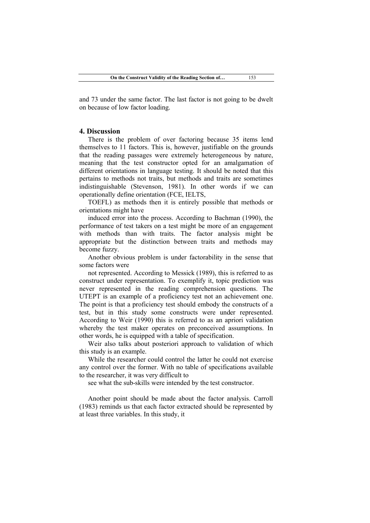and 73 under the same factor. The last factor is not going to be dwelt on because of low factor loading.

### **4. Discussion**

There is the problem of over factoring because 35 items lend themselves to 11 factors. This is, however, justifiable on the grounds that the reading passages were extremely heterogeneous by nature, meaning that the test constructor opted for an amalgamation of different orientations in language testing. It should be noted that this pertains to methods not traits, but methods and traits are sometimes indistinguishable (Stevenson, 1981). In other words if we can operationally define orientation (FCE, IELTS,

TOEFL) as methods then it is entirely possible that methods or orientations might have

induced error into the process. According to Bachman (1990), the performance of test takers on a test might be more of an engagement with methods than with traits. The factor analysis might be appropriate but the distinction between traits and methods may become fuzzy.

Another obvious problem is under factorability in the sense that some factors were

not represented. According to Messick (1989), this is referred to as construct under representation. To exemplify it, topic prediction was never represented in the reading comprehension questions. The UTEPT is an example of a proficiency test not an achievement one. The point is that a proficiency test should embody the constructs of a test, but in this study some constructs were under represented. According to Weir (1990) this is referred to as an apriori validation whereby the test maker operates on preconceived assumptions. In other words, he is equipped with a table of specification.

Weir also talks about posteriori approach to validation of which this study is an example.

While the researcher could control the latter he could not exercise any control over the former. With no table of specifications available to the researcher, it was very difficult to

see what the sub-skills were intended by the test constructor.

Another point should be made about the factor analysis. Carroll (1983) reminds us that each factor extracted should be represented by at least three variables. In this study, it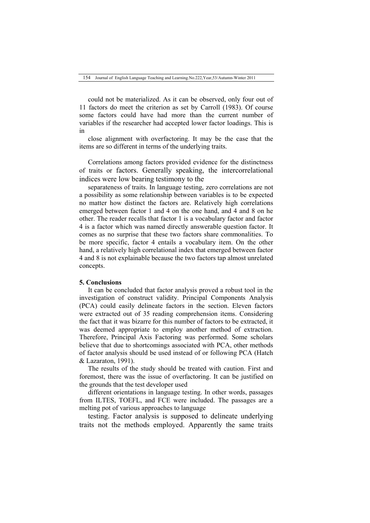could not be materialized. As it can be observed, only four out of 11 factors do meet the criterion as set by Carroll (1983). Of course some factors could have had more than the current number of variables if the researcher had accepted lower factor loadings. This is in

close alignment with overfactoring. It may be the case that the items are so different in terms of the underlying traits.

Correlations among factors provided evidence for the distinctness of traits or factors. Generally speaking, the intercorrelational indices were low bearing testimony to the

separateness of traits. In language testing, zero correlations are not a possibility as some relationship between variables is to be expected no matter how distinct the factors are. Relatively high correlations emerged between factor 1 and 4 on the one hand, and 4 and 8 on he other. The reader recalls that factor 1 is a vocabulary factor and factor 4 is a factor which was named directly answerable question factor. It comes as no surprise that these two factors share commonalities. To be more specific, factor 4 entails a vocabulary item. On the other hand, a relatively high correlational index that emerged between factor 4 and 8 is not explainable because the two factors tap almost unrelated concepts.

## **5. Conclusions**

It can be concluded that factor analysis proved a robust tool in the investigation of construct validity. Principal Components Analysis (PCA) could easily delineate factors in the section. Eleven factors were extracted out of 35 reading comprehension items. Considering the fact that it was bizarre for this number of factors to be extracted, it was deemed appropriate to employ another method of extraction. Therefore, Principal Axis Factoring was performed. Some scholars believe that due to shortcomings associated with PCA, other methods of factor analysis should be used instead of or following PCA (Hatch & Lazaraton, 1991).

The results of the study should be treated with caution. First and foremost, there was the issue of overfactoring. It can be justified on the grounds that the test developer used

different orientations in language testing. In other words, passages from ILTES, TOEFL, and FCE were included. The passages are a melting pot of various approaches to language

testing. Factor analysis is supposed to delineate underlying traits not the methods employed. Apparently the same traits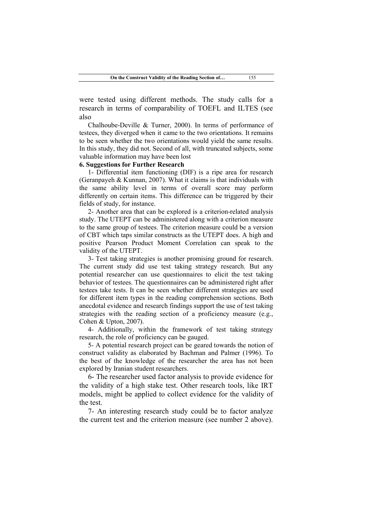were tested using different methods. The study calls for a research in terms of comparability of TOEFL and ILTES (see also

Chalhoube-Deville & Turner, 2000). In terms of performance of testees, they diverged when it came to the two orientations. It remains to be seen whether the two orientations would yield the same results. In this study, they did not. Second of all, with truncated subjects, some valuable information may have been lost

## **6. Suggestions for Further Research**

1- Differential item functioning (DIF) is a ripe area for research (Geranpayeh & Kunnan, 2007). What it claims is that individuals with the same ability level in terms of overall score may perform differently on certain items. This difference can be triggered by their fields of study, for instance.

2- Another area that can be explored is a criterion-related analysis study. The UTEPT can be administered along with a criterion measure to the same group of testees. The criterion measure could be a version of CBT which taps similar constructs as the UTEPT does. A high and positive Pearson Product Moment Correlation can speak to the validity of the UTEPT.

3- Test taking strategies is another promising ground for research. The current study did use test taking strategy research. But any potential researcher can use questionnaires to elicit the test taking behavior of testees. The questionnaires can be administered right after testees take tests. It can be seen whether different strategies are used for different item types in the reading comprehension sections. Both anecdotal evidence and research findings support the use of test taking strategies with the reading section of a proficiency measure (e.g., Cohen & Upton, 2007).

4- Additionally, within the framework of test taking strategy research, the role of proficiency can be gauged.

5- A potential research project can be geared towards the notion of construct validity as elaborated by Bachman and Palmer (1996). To the best of the knowledge of the researcher the area has not been explored by Iranian student researchers.

6- The researcher used factor analysis to provide evidence for the validity of a high stake test. Other research tools, like IRT models, might be applied to collect evidence for the validity of the test.

7- An interesting research study could be to factor analyze the current test and the criterion measure (see number 2 above).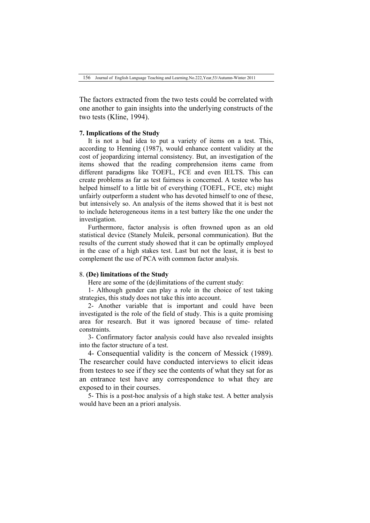The factors extracted from the two tests could be correlated with one another to gain insights into the underlying constructs of the two tests (Kline, 1994).

## **7. Implications of the Study**

It is not a bad idea to put a variety of items on a test. This, according to Henning (1987), would enhance content validity at the cost of jeopardizing internal consistency. But, an investigation of the items showed that the reading comprehension items came from different paradigms like TOEFL, FCE and even IELTS. This can create problems as far as test fairness is concerned. A testee who has helped himself to a little bit of everything (TOEFL, FCE, etc) might unfairly outperform a student who has devoted himself to one of these, but intensively so. An analysis of the items showed that it is best not to include heterogeneous items in a test battery like the one under the investigation.

Furthermore, factor analysis is often frowned upon as an old statistical device (Stanely Muleik, personal communication). But the results of the current study showed that it can be optimally employed in the case of a high stakes test. Last but not the least, it is best to complement the use of PCA with common factor analysis.

### 8. **(De) limitations of the Study**

Here are some of the (de)limitations of the current study:

1- Although gender can play a role in the choice of test taking strategies, this study does not take this into account.

2- Another variable that is important and could have been investigated is the role of the field of study. This is a quite promising area for research. But it was ignored because of time- related constraints.

3- Confirmatory factor analysis could have also revealed insights into the factor structure of a test.

4- Consequential validity is the concern of Messick (1989). The researcher could have conducted interviews to elicit ideas from testees to see if they see the contents of what they sat for as an entrance test have any correspondence to what they are exposed to in their courses.

5- This is a post-hoc analysis of a high stake test. A better analysis would have been an a priori analysis.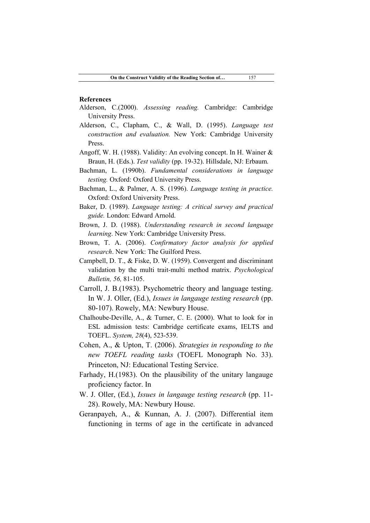## **References**

- Alderson, C.(2000). *Assessing reading.* Cambridge: Cambridge University Press.
- Alderson, C., Clapham, C., & Wall, D. (1995). *Language test construction and evaluation.* New York: Cambridge University Press.
- Angoff, W. H. (1988). Validity: An evolving concept. In H. Wainer & Braun, H. (Eds.). *Test validity* (pp. 19-32). Hillsdale, NJ: Erbaum.
- Bachman, L. (1990b). *Fundamental considerations in language testing.* Oxford: Oxford University Press.
- Bachman, L., & Palmer, A. S. (1996). *Language testing in practice.* Oxford: Oxford University Press.
- Baker, D. (1989). *Language testing: A critical survey and practical guide.* London: Edward Arnold.
- Brown, J. D. (1988). *Understanding research in second language learning*. New York: Cambridge University Press.
- Brown, T. A. (2006). *Confirmatory factor analysis for applied research*. New York: The Guilford Press.
- Campbell, D. T., & Fiske, D. W. (1959). Convergent and discriminant validation by the multi trait-multi method matrix. *Psychological Bulletin, 56,* 81-105.
- Carroll, J. B.(1983). Psychometric theory and language testing. In W. J. Oller, (Ed.), *Issues in langauge testing research* (pp. 80-107). Rowely, MA: Newbury House.
- Chalhoube-Deville, A., & Turner, C. E. (2000). What to look for in ESL admission tests: Cambridge certificate exams, IELTS and TOEFL. *System, 28*(4), 523-539.
- Cohen, A., & Upton, T. (2006). *Strategies in responding to the new TOEFL reading tasks* (TOEFL Monograph No. 33). Princeton, NJ: Educational Testing Service.
- Farhady, H.(1983). On the plausibility of the unitary langauge proficiency factor. In
- W. J. Oller, (Ed.), *Issues in langauge testing research* (pp. 11- 28). Rowely, MA: Newbury House.
- Geranpayeh, A., & Kunnan, A. J. (2007). Differential item functioning in terms of age in the certificate in advanced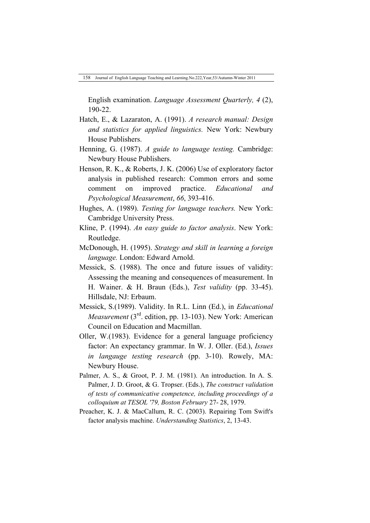English examination. *Language Assessment Quarterly, 4* (2), 190-22.

- Hatch, E., & Lazaraton, A. (1991). *A research manual: Design and statistics for applied linguistics.* New York: Newbury House Publishers.
- Henning, G. (1987). *A guide to language testing.* Cambridge: Newbury House Publishers.
- Henson, R. K., & Roberts, J. K. (2006) Use of exploratory factor analysis in published research: Common errors and some comment on improved practice. *Educational and Psychological Measurement*, *66*, 393-416.
- Hughes, A. (1989). *Testing for language teachers.* New York: Cambridge University Press.
- Kline, P. (1994). *An easy guide to factor analysis*. New York: Routledge.
- McDonough, H. (1995). *Strategy and skill in learning a foreign language.* London: Edward Arnold.
- Messick, S. (1988). The once and future issues of validity: Assessing the meaning and consequences of measurement. In H. Wainer. & H. Braun (Eds.), *Test validity* (pp. 33-45). Hillsdale, NJ: Erbaum.
- Messick, S.(1989). Validity. In R.L. Linn (Ed.), in *Educational Measurement* (3<sup>rd</sup>, edition, pp. 13-103). New York: American Council on Education and Macmillan.
- Oller, W.(1983). Evidence for a general language proficiency factor: An expectancy grammar. In W. J. Oller. (Ed.), *Issues in langauge testing research* (pp. 3-10). Rowely, MA: Newbury House.
- Palmer, A. S., & Groot, P. J. M. (1981). An introduction. In A. S. Palmer, J. D. Groot, & G. Tropser. (Eds.), *The construct validation of tests of communicative competence, including proceedings of a colloquium at TESOL '79, Boston February* 27- 28, 1979.
- Preacher, K. J. & MacCallum, R. C. (2003). Repairing Tom Swift's factor analysis machine. *Understanding Statistics*, 2, 13-43.